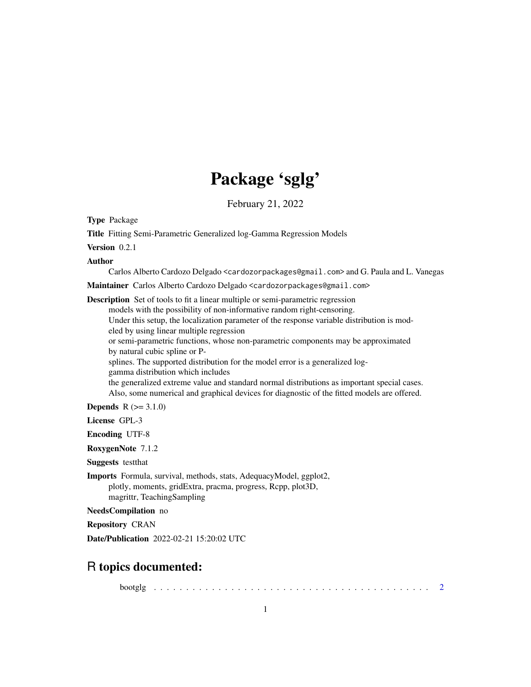# Package 'sglg'

February 21, 2022

Type Package

Title Fitting Semi-Parametric Generalized log-Gamma Regression Models

Version 0.2.1

Author

Carlos Alberto Cardozo Delgado <cardozorpackages@gmail.com> and G. Paula and L. Vanegas

Maintainer Carlos Alberto Cardozo Delgado <cardozorpackages@gmail.com>

Description Set of tools to fit a linear multiple or semi-parametric regression models with the possibility of non-informative random right-censoring. Under this setup, the localization parameter of the response variable distribution is modeled by using linear multiple regression or semi-parametric functions, whose non-parametric components may be approximated by natural cubic spline or Psplines. The supported distribution for the model error is a generalized loggamma distribution which includes the generalized extreme value and standard normal distributions as important special cases. Also, some numerical and graphical devices for diagnostic of the fitted models are offered. **Depends**  $R (= 3.1.0)$ 

License GPL-3

Encoding UTF-8

RoxygenNote 7.1.2

Suggests testthat

Imports Formula, survival, methods, stats, AdequacyModel, ggplot2, plotly, moments, gridExtra, pracma, progress, Rcpp, plot3D, magrittr, TeachingSampling

NeedsCompilation no

Repository CRAN

Date/Publication 2022-02-21 15:20:02 UTC

# R topics documented:

bootglg . . . . . . . . . . . . . . . . . . . . . . . . . . . . . . . . . . . . . . . . . . . [2](#page-1-0)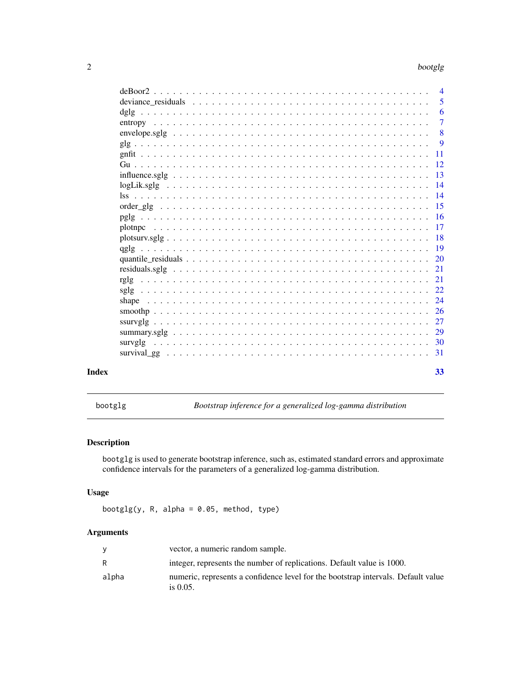<span id="page-1-0"></span>

| deviance residuals $\ldots \ldots \ldots \ldots \ldots \ldots \ldots \ldots \ldots \ldots \ldots \ldots \ldots$ |  |  |  |  |  |  |  |  |  |  |  |  |  | 5              |
|-----------------------------------------------------------------------------------------------------------------|--|--|--|--|--|--|--|--|--|--|--|--|--|----------------|
|                                                                                                                 |  |  |  |  |  |  |  |  |  |  |  |  |  | -6             |
|                                                                                                                 |  |  |  |  |  |  |  |  |  |  |  |  |  | $\overline{7}$ |
|                                                                                                                 |  |  |  |  |  |  |  |  |  |  |  |  |  | - 8            |
|                                                                                                                 |  |  |  |  |  |  |  |  |  |  |  |  |  | - 9            |
|                                                                                                                 |  |  |  |  |  |  |  |  |  |  |  |  |  |                |
|                                                                                                                 |  |  |  |  |  |  |  |  |  |  |  |  |  |                |
|                                                                                                                 |  |  |  |  |  |  |  |  |  |  |  |  |  |                |
|                                                                                                                 |  |  |  |  |  |  |  |  |  |  |  |  |  |                |
|                                                                                                                 |  |  |  |  |  |  |  |  |  |  |  |  |  |                |
|                                                                                                                 |  |  |  |  |  |  |  |  |  |  |  |  |  |                |
|                                                                                                                 |  |  |  |  |  |  |  |  |  |  |  |  |  |                |
|                                                                                                                 |  |  |  |  |  |  |  |  |  |  |  |  |  |                |
|                                                                                                                 |  |  |  |  |  |  |  |  |  |  |  |  |  |                |
|                                                                                                                 |  |  |  |  |  |  |  |  |  |  |  |  |  |                |
|                                                                                                                 |  |  |  |  |  |  |  |  |  |  |  |  |  |                |
|                                                                                                                 |  |  |  |  |  |  |  |  |  |  |  |  |  |                |
|                                                                                                                 |  |  |  |  |  |  |  |  |  |  |  |  |  |                |
|                                                                                                                 |  |  |  |  |  |  |  |  |  |  |  |  |  |                |
|                                                                                                                 |  |  |  |  |  |  |  |  |  |  |  |  |  |                |
|                                                                                                                 |  |  |  |  |  |  |  |  |  |  |  |  |  |                |
|                                                                                                                 |  |  |  |  |  |  |  |  |  |  |  |  |  |                |
|                                                                                                                 |  |  |  |  |  |  |  |  |  |  |  |  |  |                |
|                                                                                                                 |  |  |  |  |  |  |  |  |  |  |  |  |  |                |
|                                                                                                                 |  |  |  |  |  |  |  |  |  |  |  |  |  |                |
|                                                                                                                 |  |  |  |  |  |  |  |  |  |  |  |  |  | 33             |

bootglg *Bootstrap inference for a generalized log-gamma distribution*

# Description

bootglg is used to generate bootstrap inference, such as, estimated standard errors and approximate confidence intervals for the parameters of a generalized log-gamma distribution.

# Usage

 $bootglg(y, R, alpha = 0.05, method, type)$ 

# Arguments

|       | vector, a numeric random sample.                                                                 |
|-------|--------------------------------------------------------------------------------------------------|
| R     | integer, represents the number of replications. Default value is 1000.                           |
| alpha | numeric, represents a confidence level for the bootstrap intervals. Default value<br>is $0.05$ . |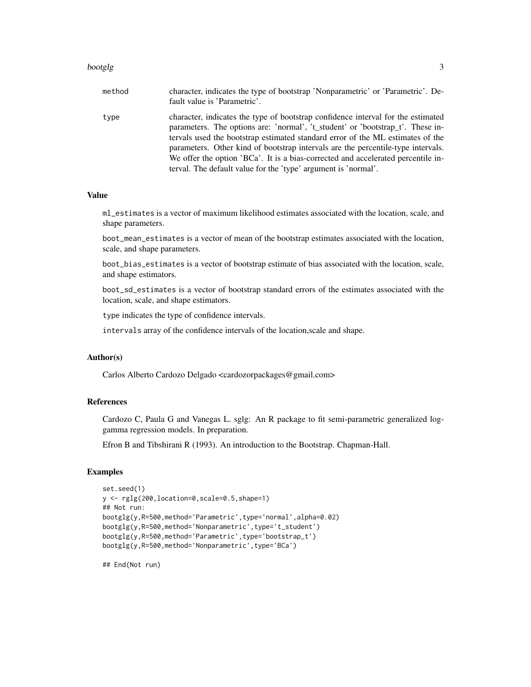#### bootglg 3

| method | character, indicates the type of bootstrap 'Nonparametric' or 'Parametric'. De-<br>fault value is 'Parametric'.                                                                                                                                                                                                                                                                                                                                                                                |
|--------|------------------------------------------------------------------------------------------------------------------------------------------------------------------------------------------------------------------------------------------------------------------------------------------------------------------------------------------------------------------------------------------------------------------------------------------------------------------------------------------------|
| type   | character, indicates the type of bootstrap confidence interval for the estimated<br>parameters. The options are: 'normal', 't_student' or 'bootstrap_t'. These in-<br>tervals used the bootstrap estimated standard error of the ML estimates of the<br>parameters. Other kind of bootstrap intervals are the percentile-type intervals.<br>We offer the option 'BCa'. It is a bias-corrected and accelerated percentile in-<br>terval. The default value for the 'type' argument is 'normal'. |

#### Value

ml\_estimates is a vector of maximum likelihood estimates associated with the location, scale, and shape parameters.

boot\_mean\_estimates is a vector of mean of the bootstrap estimates associated with the location, scale, and shape parameters.

boot\_bias\_estimates is a vector of bootstrap estimate of bias associated with the location, scale, and shape estimators.

boot\_sd\_estimates is a vector of bootstrap standard errors of the estimates associated with the location, scale, and shape estimators.

type indicates the type of confidence intervals.

intervals array of the confidence intervals of the location,scale and shape.

# Author(s)

Carlos Alberto Cardozo Delgado <cardozorpackages@gmail.com>

# References

Cardozo C, Paula G and Vanegas L. sglg: An R package to fit semi-parametric generalized loggamma regression models. In preparation.

Efron B and Tibshirani R (1993). An introduction to the Bootstrap. Chapman-Hall.

# Examples

```
set.seed(1)
y <- rglg(200,location=0,scale=0.5,shape=1)
## Not run:
bootglg(y,R=500,method='Parametric',type='normal',alpha=0.02)
bootglg(y,R=500,method='Nonparametric',type='t_student')
bootglg(y,R=500,method='Parametric',type='bootstrap_t')
bootglg(y,R=500,method='Nonparametric',type='BCa')
```
## End(Not run)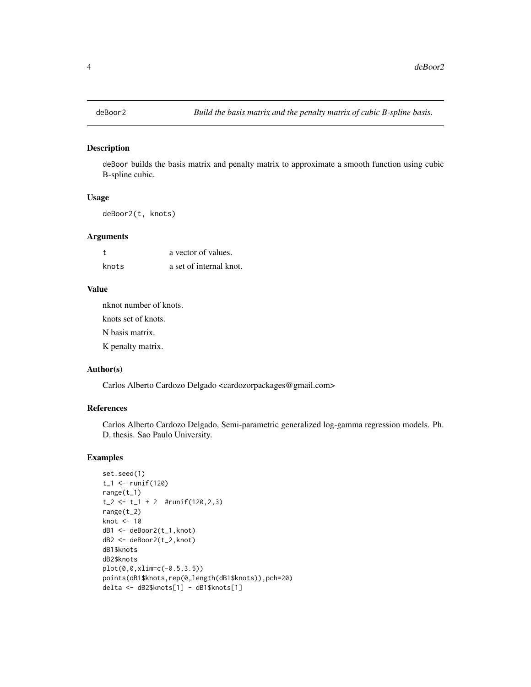<span id="page-3-0"></span>

#### Description

deBoor builds the basis matrix and penalty matrix to approximate a smooth function using cubic B-spline cubic.

#### Usage

deBoor2(t, knots)

# Arguments

|       | a vector of values.     |
|-------|-------------------------|
| knots | a set of internal knot. |

# Value

nknot number of knots.

knots set of knots.

N basis matrix.

K penalty matrix.

# Author(s)

Carlos Alberto Cardozo Delgado <cardozorpackages@gmail.com>

# References

Carlos Alberto Cardozo Delgado, Semi-parametric generalized log-gamma regression models. Ph. D. thesis. Sao Paulo University.

```
set.seed(1)
t_{-1} <- runif(120)
range(t_1)
t_{-2} <- t_{-1} + 2 #runif(120,2,3)
range(t_2)
knot <- 10
dB1 <- deBoor2(t_1,knot)
dB2 <- deBoor2(t_2,knot)
dB1$knots
dB2$knots
plot(0,0,xlim=c(-0.5,3.5))
points(dB1$knots,rep(0,length(dB1$knots)),pch=20)
delta <- dB2$knots[1] - dB1$knots[1]
```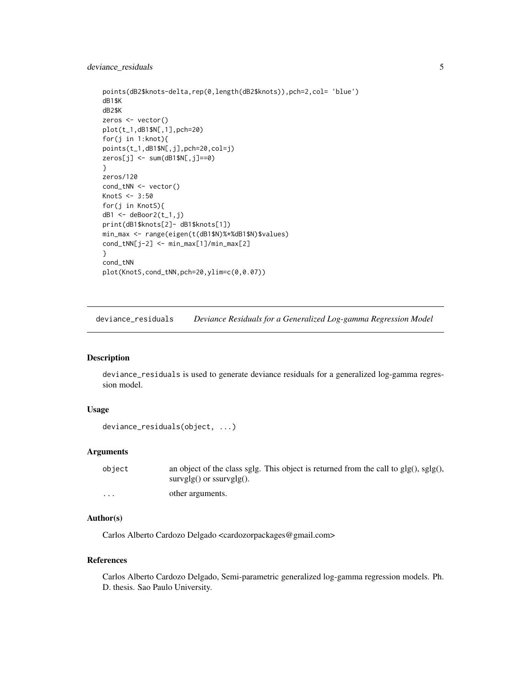# <span id="page-4-0"></span>deviance\_residuals 5

```
points(dB2$knots-delta,rep(0,length(dB2$knots)),pch=2,col= 'blue')
dB1$K
dB2$K
zeros <- vector()
plot(t_1,dB1$N[,1],pch=20)
for(j in 1:knot){
points(t_1,dB1$N[,j],pch=20,col=j)
zeros[j] <- sum(dB1$N[,j]==0)
}
zeros/120
cond_tNN <- vector()
KnotS <- 3:50
for(j in KnotS){
dB1 <- deBoor2(t_1,j)
print(dB1$knots[2]- dB1$knots[1])
min_max <- range(eigen(t(dB1$N)%*%dB1$N)$values)
cond_tNN[j-2] <- min_max[1]/min_max[2]
}
cond_tNN
plot(KnotS,cond_tNN,pch=20,ylim=c(0,0.07))
```
deviance\_residuals *Deviance Residuals for a Generalized Log-gamma Regression Model*

# Description

deviance\_residuals is used to generate deviance residuals for a generalized log-gamma regression model.

# Usage

```
deviance_residuals(object, ...)
```
#### Arguments

| object   | an object of the class sglg. This object is returned from the call to $glg()$ , $sglg()$ , |
|----------|--------------------------------------------------------------------------------------------|
|          | $survglg()$ or $ssurvglg()$ .                                                              |
| $\cdots$ | other arguments.                                                                           |

# Author(s)

Carlos Alberto Cardozo Delgado <cardozorpackages@gmail.com>

#### References

Carlos Alberto Cardozo Delgado, Semi-parametric generalized log-gamma regression models. Ph. D. thesis. Sao Paulo University.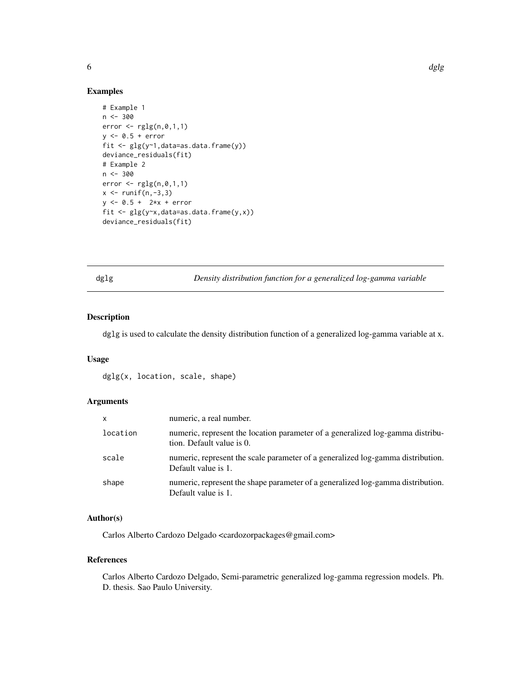#### Examples

```
# Example 1
n < -300error \leftarrow rglg(n, 0, 1, 1)y \leq 0.5 + errorfit \leq glg(y\sim1, data=as.data.frame(y))
deviance_residuals(fit)
# Example 2
n < -300error \leftarrow rglg(n, 0, 1, 1)x \leftarrow runif(n,-3,3)y \le -0.5 + 2*x + errorfit \leq glg(y\infty, data=as.data.frame(y,x))
deviance_residuals(fit)
```
dglg *Density distribution function for a generalized log-gamma variable*

# Description

dglg is used to calculate the density distribution function of a generalized log-gamma variable at x.

#### Usage

dglg(x, location, scale, shape)

## Arguments

| X        | numeric, a real number.                                                                                     |
|----------|-------------------------------------------------------------------------------------------------------------|
| location | numeric, represent the location parameter of a generalized log-gamma distribu-<br>tion. Default value is 0. |
| scale    | numeric, represent the scale parameter of a generalized log-gamma distribution.<br>Default value is 1.      |
| shape    | numeric, represent the shape parameter of a generalized log-gamma distribution.<br>Default value is 1.      |

# Author(s)

Carlos Alberto Cardozo Delgado <cardozorpackages@gmail.com>

#### References

Carlos Alberto Cardozo Delgado, Semi-parametric generalized log-gamma regression models. Ph. D. thesis. Sao Paulo University.

<span id="page-5-0"></span>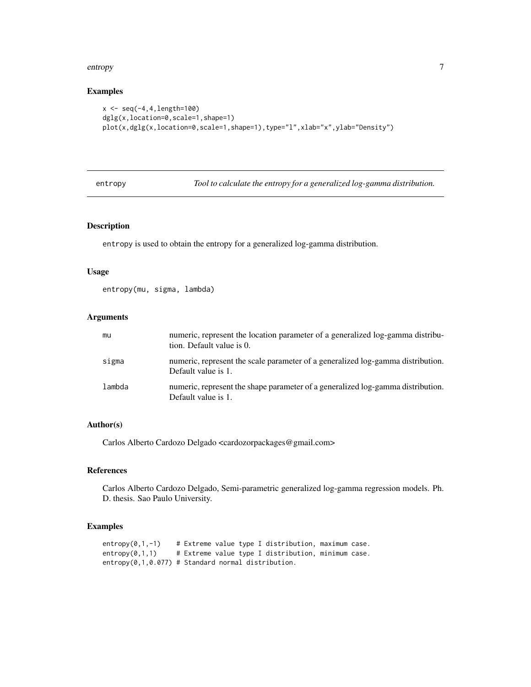#### <span id="page-6-0"></span>entropy and the control of the control of the control of the control of the control of the control of the control of the control of the control of the control of the control of the control of the control of the control of

# Examples

```
x <- seq(-4,4,length=100)
dglg(x,location=0,scale=1,shape=1)
plot(x,dglg(x,location=0,scale=1,shape=1),type="l",xlab="x",ylab="Density")
```
entropy *Tool to calculate the entropy for a generalized log-gamma distribution.*

# Description

entropy is used to obtain the entropy for a generalized log-gamma distribution.

### Usage

entropy(mu, sigma, lambda)

# Arguments

| mu     | numeric, represent the location parameter of a generalized log-gamma distribu-<br>tion. Default value is 0. |
|--------|-------------------------------------------------------------------------------------------------------------|
| sigma  | numeric, represent the scale parameter of a generalized log-gamma distribution.<br>Default value is 1.      |
| lambda | numeric, represent the shape parameter of a generalized log-gamma distribution.<br>Default value is 1.      |

# Author(s)

Carlos Alberto Cardozo Delgado <cardozorpackages@gmail.com>

# References

Carlos Alberto Cardozo Delgado, Semi-parametric generalized log-gamma regression models. Ph. D. thesis. Sao Paulo University.

```
entropy(0,1,-1) # Extreme value type I distribution, maximum case.
entropy(0,1,1) # Extreme value type I distribution, minimum case.
entropy(0,1,0.077) # Standard normal distribution.
```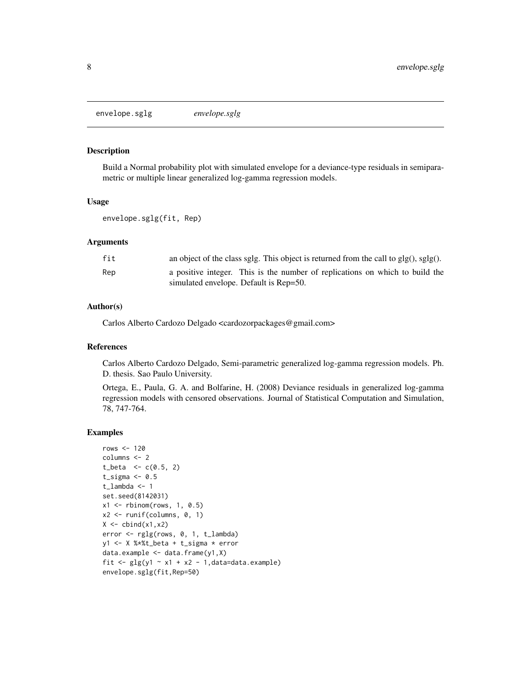<span id="page-7-0"></span>envelope.sglg *envelope.sglg*

#### Description

Build a Normal probability plot with simulated envelope for a deviance-type residuals in semiparametric or multiple linear generalized log-gamma regression models.

#### Usage

envelope.sglg(fit, Rep)

#### Arguments

| fit | an object of the class sglg. This object is returned from the call to $g\vert g(.)$ , $g\vert g(.)$ . |
|-----|-------------------------------------------------------------------------------------------------------|
| Rep | a positive integer. This is the number of replications on which to build the                          |
|     | simulated envelope. Default is Rep=50.                                                                |

#### Author(s)

Carlos Alberto Cardozo Delgado <cardozorpackages@gmail.com>

#### References

Carlos Alberto Cardozo Delgado, Semi-parametric generalized log-gamma regression models. Ph. D. thesis. Sao Paulo University.

Ortega, E., Paula, G. A. and Bolfarine, H. (2008) Deviance residuals in generalized log-gamma regression models with censored observations. Journal of Statistical Computation and Simulation, 78, 747-764.

```
rows <-120columns <- 2
t_{beta} < -c(0.5, 2)t_sigma <-0.5t_lambda <- 1
set.seed(8142031)
x1 \leftarrow \text{rbinom}(\text{rows}, 1, 0.5)x2 \le runif(columns, 0, 1)
X \leftarrow \text{cbind}(x1, x2)error <- rglg(rows, 0, 1, t_lambda)
y1 <- X %*%t_beta + t_sigma * error
data.example <- data.frame(y1,X)
fit \le glg(y1 \sim x1 + x2 - 1, data=data.example)
envelope.sglg(fit,Rep=50)
```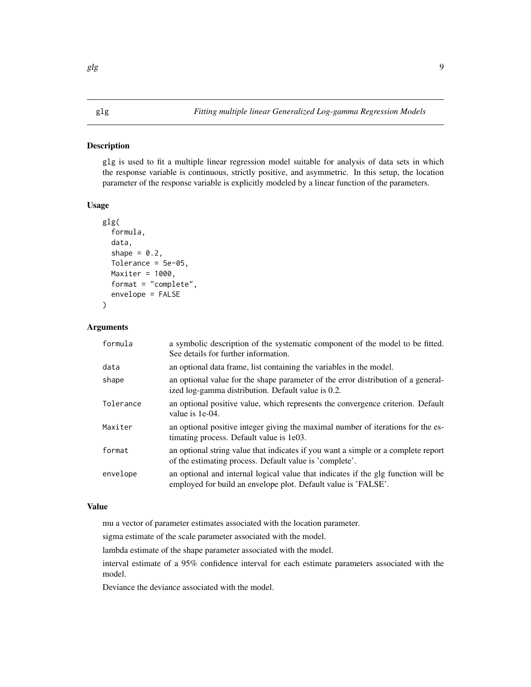#### <span id="page-8-0"></span>Description

glg is used to fit a multiple linear regression model suitable for analysis of data sets in which the response variable is continuous, strictly positive, and asymmetric. In this setup, the location parameter of the response variable is explicitly modeled by a linear function of the parameters.

#### Usage

```
glg(
  formula,
  data,
  shape = 0.2,
  Tolerance = 5e-05,
  Maxiter = 1000,
  format = "complete",
  envelope = FALSE
)
```
# Arguments

| formula   | a symbolic description of the systematic component of the model to be fitted.<br>See details for further information.                               |
|-----------|-----------------------------------------------------------------------------------------------------------------------------------------------------|
| data      | an optional data frame, list containing the variables in the model.                                                                                 |
| shape     | an optional value for the shape parameter of the error distribution of a general-<br>ized log-gamma distribution. Default value is 0.2.             |
| Tolerance | an optional positive value, which represents the convergence criterion. Default<br>value is 1e-04.                                                  |
| Maxiter   | an optional positive integer giving the maximal number of iterations for the es-<br>timating process. Default value is 1e03.                        |
| format    | an optional string value that indicates if you want a simple or a complete report<br>of the estimating process. Default value is 'complete'.        |
| envelope  | an optional and internal logical value that indicates if the glg function will be<br>employed for build an envelope plot. Default value is 'FALSE'. |

# Value

mu a vector of parameter estimates associated with the location parameter.

sigma estimate of the scale parameter associated with the model.

lambda estimate of the shape parameter associated with the model.

interval estimate of a 95% confidence interval for each estimate parameters associated with the model.

Deviance the deviance associated with the model.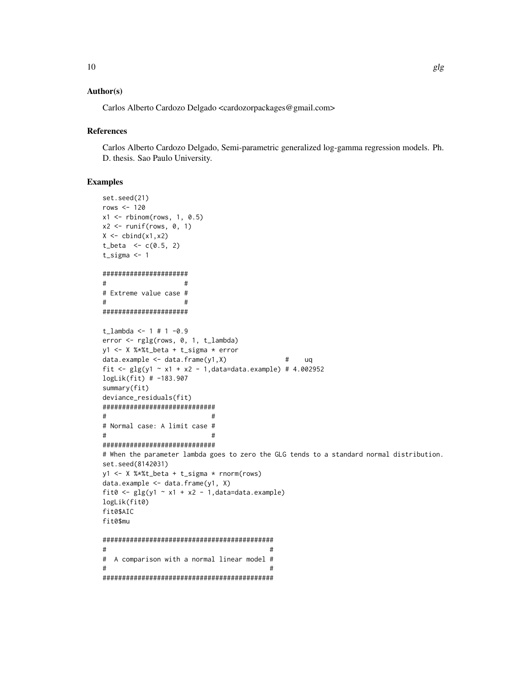# Author(s)

Carlos Alberto Cardozo Delgado <cardozorpackages@gmail.com>

#### **References**

Carlos Alberto Cardozo Delgado, Semi-parametric generalized log-gamma regression models. Ph. D. thesis. Sao Paulo University.

```
set.seed(21)
rows \le 120
x1 \leftarrow \text{rbinom}(\text{rows}, 1, 0.5)x2 \le- runif(rows, 0, 1)
X \leftarrow \text{cbind}(x1, x2)t_{beta} < -c(0.5, 2)t_sigma <- 1
######################
\# \## Extreme value case #
\# \#######################
t_lambda <- 1 # 1 -0.9error <- rglg(rows, 0, 1, t_lambda)
y1 <- X %*%t_beta + t_sigma * error
data.example \leq data.frame(y1,X) \qquad # uq
fit <- glg(y1 - x1 + x2 - 1, data=data.example) # 4.002952logLik(fit) # -183.907
summary(fit)
deviance_residuals(fit)
#############################
\## Normal case: A limit case #
\# \##############################
# When the parameter lambda goes to zero the GLG tends to a standard normal distribution.
set.seed(8142031)
y1 <- X %*%t_beta + t_sigma * rnorm(rows)
data.example <- data.frame(y1, X)
fit0 <- glg(y1 - x1 + x2 - 1, data=data.example)logLik(fit0)
fit0$AIC
fit0$mu
############################################
\## A comparison with a normal linear model #
\# \#############################################
```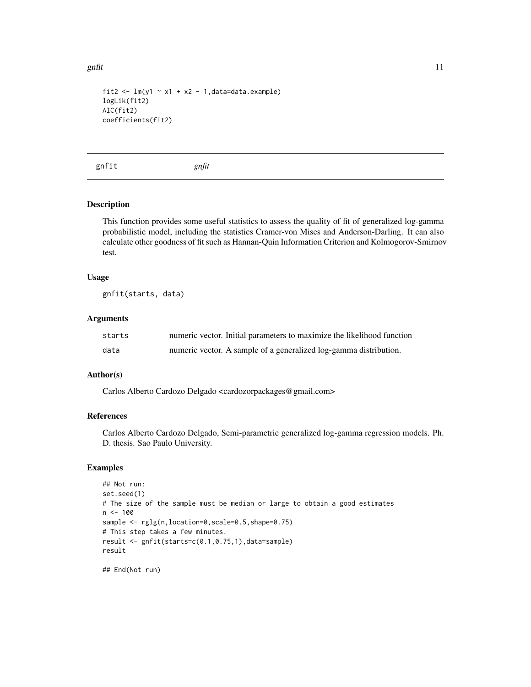<span id="page-10-0"></span>gnfit  $\qquad 11$ 

```
fit2 <- lm(y1 - x1 + x2 - 1, data=data.example)logLik(fit2)
AIC(fit2)
coefficients(fit2)
```
gnfit *gnfit*

# Description

This function provides some useful statistics to assess the quality of fit of generalized log-gamma probabilistic model, including the statistics Cramer-von Mises and Anderson-Darling. It can also calculate other goodness of fit such as Hannan-Quin Information Criterion and Kolmogorov-Smirnov test.

#### Usage

gnfit(starts, data)

#### Arguments

| starts | numeric vector. Initial parameters to maximize the likelihood function |
|--------|------------------------------------------------------------------------|
| data   | numeric vector. A sample of a generalized log-gamma distribution.      |

#### Author(s)

Carlos Alberto Cardozo Delgado <cardozorpackages@gmail.com>

#### References

Carlos Alberto Cardozo Delgado, Semi-parametric generalized log-gamma regression models. Ph. D. thesis. Sao Paulo University.

```
## Not run:
set.seed(1)
# The size of the sample must be median or large to obtain a good estimates
n < - 100sample <- rglg(n,location=0,scale=0.5,shape=0.75)
# This step takes a few minutes.
result <- gnfit(starts=c(0.1,0.75,1),data=sample)
result
```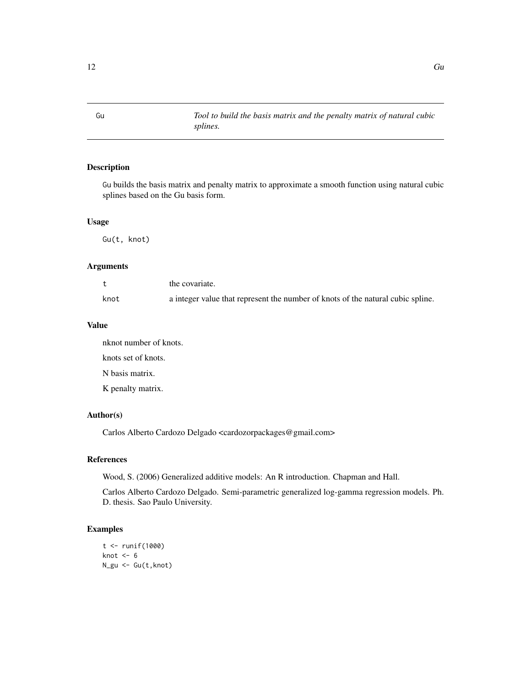<span id="page-11-0"></span>Gu *Tool to build the basis matrix and the penalty matrix of natural cubic splines.*

# Description

Gu builds the basis matrix and penalty matrix to approximate a smooth function using natural cubic splines based on the Gu basis form.

#### Usage

Gu(t, knot)

# Arguments

|      | the covariate.                                                                  |
|------|---------------------------------------------------------------------------------|
| knot | a integer value that represent the number of knots of the natural cubic spline. |

#### Value

nknot number of knots. knots set of knots. N basis matrix. K penalty matrix.

# Author(s)

Carlos Alberto Cardozo Delgado <cardozorpackages@gmail.com>

#### References

Wood, S. (2006) Generalized additive models: An R introduction. Chapman and Hall.

Carlos Alberto Cardozo Delgado. Semi-parametric generalized log-gamma regression models. Ph. D. thesis. Sao Paulo University.

```
t <- runif(1000)
knot <-6N_gu <- Gu(t,knot)
```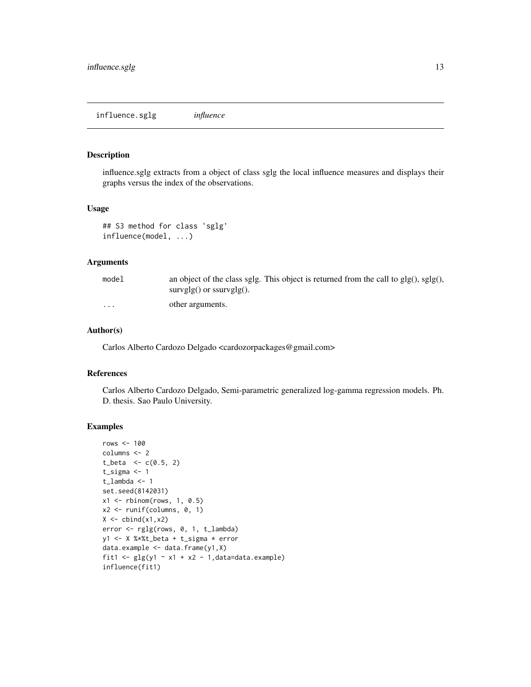<span id="page-12-0"></span>influence.sglg *influence*

#### Description

influence.sglg extracts from a object of class sglg the local influence measures and displays their graphs versus the index of the observations.

#### Usage

```
## S3 method for class 'sglg'
influence(model, ...)
```
# Arguments

| model   | an object of the class sglg. This object is returned from the call to $glg()$ , $sglg()$ , |
|---------|--------------------------------------------------------------------------------------------|
|         | $survglg()$ or $ssurvglg()$ .                                                              |
| $\cdot$ | other arguments.                                                                           |

# Author(s)

Carlos Alberto Cardozo Delgado <cardozorpackages@gmail.com>

#### References

Carlos Alberto Cardozo Delgado, Semi-parametric generalized log-gamma regression models. Ph. D. thesis. Sao Paulo University.

```
rows <-100columns <- 2
t_{beta} < -c(0.5, 2)t_sigma <- 1
t_lambda <- 1
set.seed(8142031)
x1 \leftarrow \text{rbinom}(\text{rows}, 1, 0.5)x2 <- runif(columns, 0, 1)
X \leftarrow \text{cbind}(x1, x2)error <- rglg(rows, 0, 1, t_lambda)
y1 <- X %*%t_beta + t_sigma * error
data.example <- data.frame(y1,X)
fit1 <- glg(y1 - x1 + x2 - 1, data=data.example)influence(fit1)
```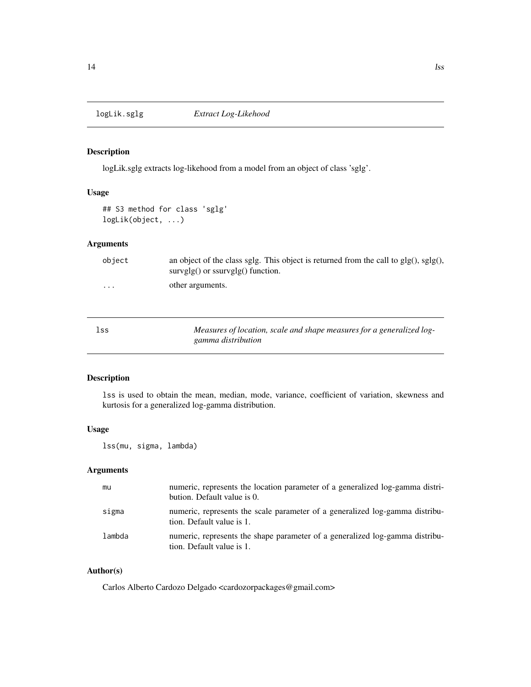<span id="page-13-0"></span>

# Description

logLik.sglg extracts log-likehood from a model from an object of class 'sglg'.

# Usage

## S3 method for class 'sglg' logLik(object, ...)

# Arguments

| object   | an object of the class sglg. This object is returned from the call to $glg()$ , $sglg()$ ,<br>$survglg()$ or $ssurvglg()$ function. |
|----------|-------------------------------------------------------------------------------------------------------------------------------------|
| $\cdots$ | other arguments.                                                                                                                    |
|          |                                                                                                                                     |

| lss | Measures of location, scale and shape measures for a generalized log- |
|-----|-----------------------------------------------------------------------|
|     | gamma distribution                                                    |

# Description

lss is used to obtain the mean, median, mode, variance, coefficient of variation, skewness and kurtosis for a generalized log-gamma distribution.

# Usage

lss(mu, sigma, lambda)

# Arguments

| mu     | numeric, represents the location parameter of a generalized log-gamma distri-<br>bution. Default value is 0. |
|--------|--------------------------------------------------------------------------------------------------------------|
| sigma  | numeric, represents the scale parameter of a generalized log-gamma distribu-<br>tion. Default value is 1.    |
| lambda | numeric, represents the shape parameter of a generalized log-gamma distribu-<br>tion. Default value is 1.    |

# Author(s)

Carlos Alberto Cardozo Delgado <cardozorpackages@gmail.com>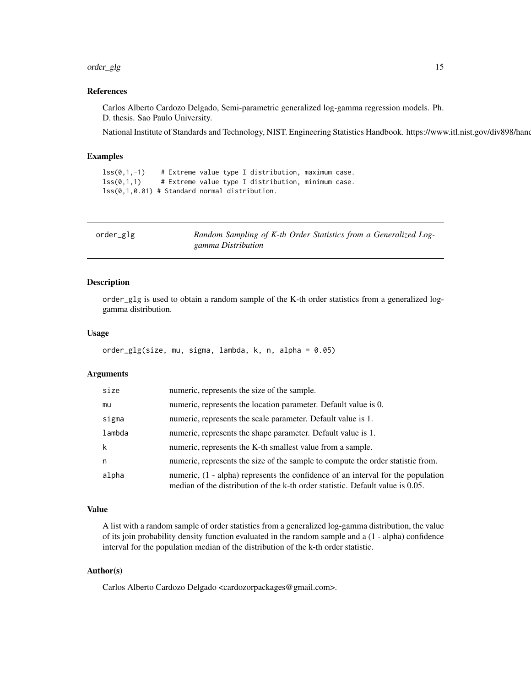#### <span id="page-14-0"></span>order\_glg 15

#### References

Carlos Alberto Cardozo Delgado, Semi-parametric generalized log-gamma regression models. Ph. D. thesis. Sao Paulo University.

National Institute of Standards and Technology, NIST. Engineering Statistics Handbook. https://www.itl.nist.gov/div898/hand

#### Examples

```
lss(0,1,-1) # Extreme value type I distribution, maximum case.
lss(0,1,1) # Extreme value type I distribution, minimum case.
lss(0,1,0.01) # Standard normal distribution.
```

|  | order_glg |  |
|--|-----------|--|
|  |           |  |

Random Sampling of K-th Order Statistics from a Generalized Log*gamma Distribution*

## Description

order\_glg is used to obtain a random sample of the K-th order statistics from a generalized loggamma distribution.

#### Usage

```
order_glg(size, mu, sigma, lambda, k, n, alpha = 0.05)
```
#### Arguments

| size   | numeric, represents the size of the sample.                                                                                                                        |
|--------|--------------------------------------------------------------------------------------------------------------------------------------------------------------------|
| mu     | numeric, represents the location parameter. Default value is 0.                                                                                                    |
| sigma  | numeric, represents the scale parameter. Default value is 1.                                                                                                       |
| lambda | numeric, represents the shape parameter. Default value is 1.                                                                                                       |
| k      | numeric, represents the K-th smallest value from a sample.                                                                                                         |
| n      | numeric, represents the size of the sample to compute the order statistic from.                                                                                    |
| alpha  | numeric, (1 - alpha) represents the confidence of an interval for the population<br>median of the distribution of the k-th order statistic. Default value is 0.05. |

#### Value

A list with a random sample of order statistics from a generalized log-gamma distribution, the value of its join probability density function evaluated in the random sample and a (1 - alpha) confidence interval for the population median of the distribution of the k-th order statistic.

#### Author(s)

Carlos Alberto Cardozo Delgado <cardozorpackages@gmail.com>.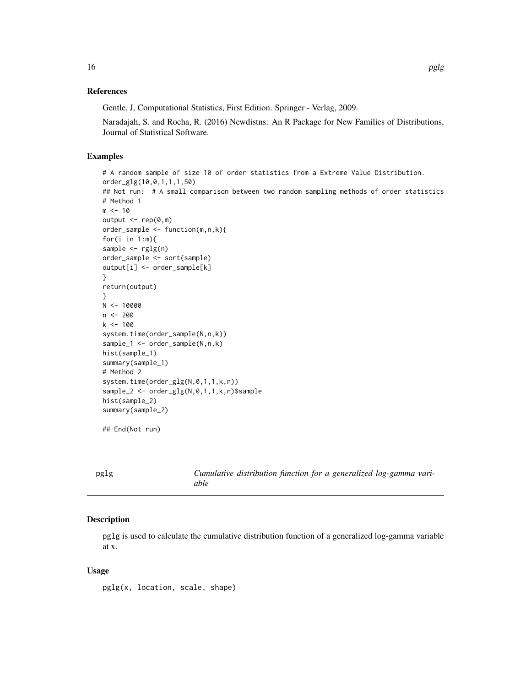#### <span id="page-15-0"></span>References

Gentle, J, Computational Statistics, First Edition. Springer - Verlag, 2009.

Naradajah, S. and Rocha, R. (2016) Newdistns: An R Package for New Families of Distributions, Journal of Statistical Software.

# Examples

```
# A random sample of size 10 of order statistics from a Extreme Value Distribution.
order_glg(10,0,1,1,1,50)
## Not run: # A small comparison between two random sampling methods of order statistics
# Method 1
m < -10output \leq rep(0,m)
order_sample <- function(m,n,k){
for(i in 1:m){
sample \leq rglg(n)
order_sample <- sort(sample)
output[i] <- order_sample[k]
}
return(output)
}
N < -10000n <- 200
k <- 100
system.time(order_sample(N,n,k))
sample_1 <- order_sample(N,n,k)
hist(sample_1)
summary(sample_1)
# Method 2
system.time(order_glg(N,0,1,1,k,n))
sample_2 <- order_glg(N,0,1,1,k,n)$sample
hist(sample_2)
summary(sample_2)
```
## End(Not run)

pglg *Cumulative distribution function for a generalized log-gamma variable*

#### Description

pglg is used to calculate the cumulative distribution function of a generalized log-gamma variable at x.

#### Usage

pglg(x, location, scale, shape)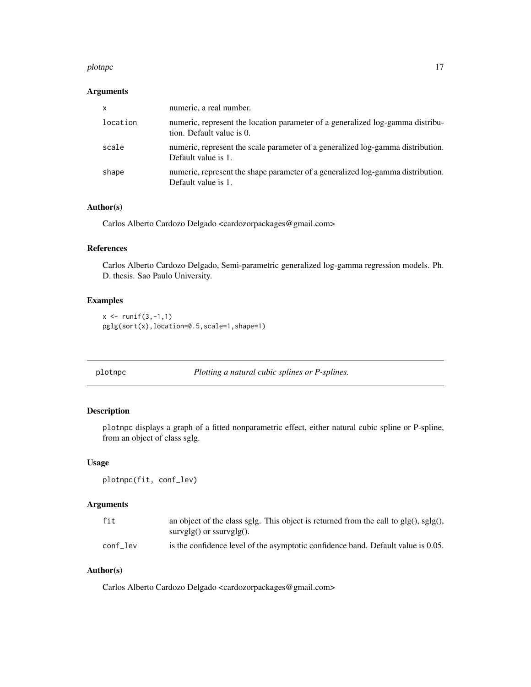#### <span id="page-16-0"></span>plotnpc that the state of the state of the state of the state of the state of the state of the state of the state of the state of the state of the state of the state of the state of the state of the state of the state of t

## Arguments

| X        | numeric, a real number.                                                                                     |
|----------|-------------------------------------------------------------------------------------------------------------|
| location | numeric, represent the location parameter of a generalized log-gamma distribu-<br>tion. Default value is 0. |
| scale    | numeric, represent the scale parameter of a generalized log-gamma distribution.<br>Default value is 1.      |
| shape    | numeric, represent the shape parameter of a generalized log-gamma distribution.<br>Default value is 1.      |

# Author(s)

Carlos Alberto Cardozo Delgado <cardozorpackages@gmail.com>

# References

Carlos Alberto Cardozo Delgado, Semi-parametric generalized log-gamma regression models. Ph. D. thesis. Sao Paulo University.

# Examples

```
x \leftarrow runif(3,-1,1)pglg(sort(x),location=0.5,scale=1,shape=1)
```
plotnpc *Plotting a natural cubic splines or P-splines.*

# Description

plotnpc displays a graph of a fitted nonparametric effect, either natural cubic spline or P-spline, from an object of class sglg.

# Usage

plotnpc(fit, conf\_lev)

# Arguments

| fit      | an object of the class sglg. This object is returned from the call to $glg()$ , $sglg()$ , |
|----------|--------------------------------------------------------------------------------------------|
|          | $survglg()$ or $ssurvglg()$ .                                                              |
| conf lev | is the confidence level of the asymptotic confidence band. Default value is 0.05.          |

#### Author(s)

Carlos Alberto Cardozo Delgado <cardozorpackages@gmail.com>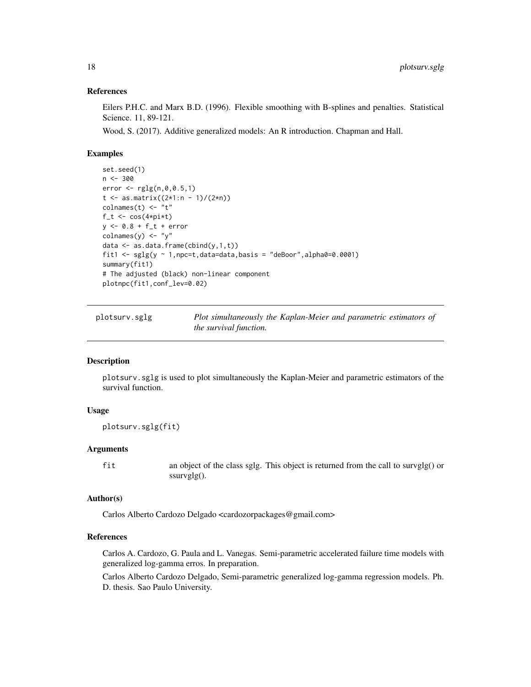#### References

Eilers P.H.C. and Marx B.D. (1996). Flexible smoothing with B-splines and penalties. Statistical Science. 11, 89-121.

Wood, S. (2017). Additive generalized models: An R introduction. Chapman and Hall.

#### Examples

```
set.seed(1)
n < -300error < -rglg(n, 0, 0.5, 1)t < - as.matrix((2*1:n - 1)/(2*n))
\text{columns}(t) \leq - "t"
f_t < -\cos(4*pi*t)y <- 0.8 + f_t + error
colnames(y) <- "y"
data \leq as.data.frame(cbind(y,1,t))
fit1 <- sglg(y \sim 1, npc=t, data=data, basis = "deBoor", alpha0=0.0001)summary(fit1)
# The adjusted (black) non-linear component
plotnpc(fit1,conf_lev=0.02)
```
plotsurv.sglg *Plot simultaneously the Kaplan-Meier and parametric estimators of the survival function.*

# Description

plotsurv.sglg is used to plot simultaneously the Kaplan-Meier and parametric estimators of the survival function.

# Usage

plotsurv.sglg(fit)

#### Arguments

fit an object of the class sglg. This object is returned from the call to survglg() or ssurvglg().

#### Author(s)

Carlos Alberto Cardozo Delgado <cardozorpackages@gmail.com>

# References

Carlos A. Cardozo, G. Paula and L. Vanegas. Semi-parametric accelerated failure time models with generalized log-gamma erros. In preparation.

Carlos Alberto Cardozo Delgado, Semi-parametric generalized log-gamma regression models. Ph. D. thesis. Sao Paulo University.

<span id="page-17-0"></span>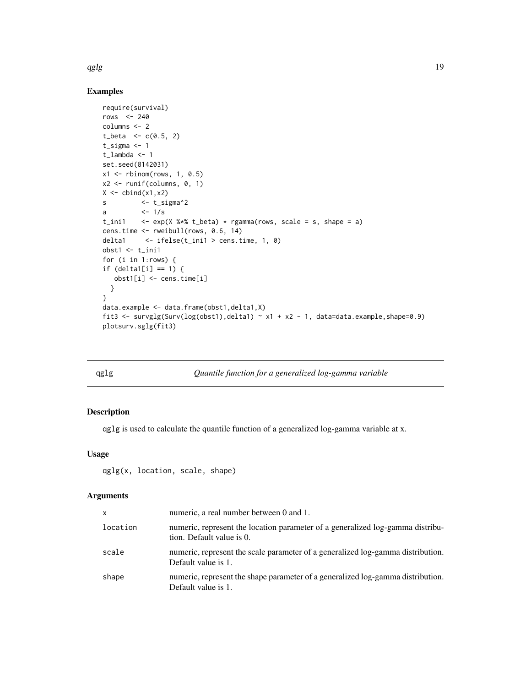<span id="page-18-0"></span>qglg  $\qquad$  19

# Examples

```
require(survival)
rows <-240columns <- 2
t_{beta} < -c(0.5, 2)t_sigma <- 1
t_lambda <- 1
set.seed(8142031)
x1 \leftarrow \text{rbinom}(\text{rows}, 1, 0.5)x2 \leftarrow runif(column, 0, 1)X \leftarrow \text{cbind}(x1, x2)s <- t_sigma^2
a <- 1/s
t_ini1 \leq exp(X %*% t_beta) * rgamma(rows, scale = s, shape = a)
cens.time <- rweibull(rows, 0.6, 14)
delta1 <- ifelse(t_ini1 > cens.time, 1, 0)
obst1 < -t_ini1for (i in 1:rows) {
if (delta1[i] == 1) {
   obst1[i] <- cens.time[i]
  }
}
data.example <- data.frame(obst1,delta1,X)
fit3 <- survglg(Surv(log(obst1),delta1) ~ x1 + x2 - 1, data=data.example,shape=0.9)
plotsurv.sglg(fit3)
```
#### qglg *Quantile function for a generalized log-gamma variable*

# Description

qglg is used to calculate the quantile function of a generalized log-gamma variable at x.

#### Usage

qglg(x, location, scale, shape)

# Arguments

| x        | numeric, a real number between 0 and 1.                                                                     |
|----------|-------------------------------------------------------------------------------------------------------------|
| location | numeric, represent the location parameter of a generalized log-gamma distribu-<br>tion. Default value is 0. |
| scale    | numeric, represent the scale parameter of a generalized log-gamma distribution.<br>Default value is 1.      |
| shape    | numeric, represent the shape parameter of a generalized log-gamma distribution.<br>Default value is 1.      |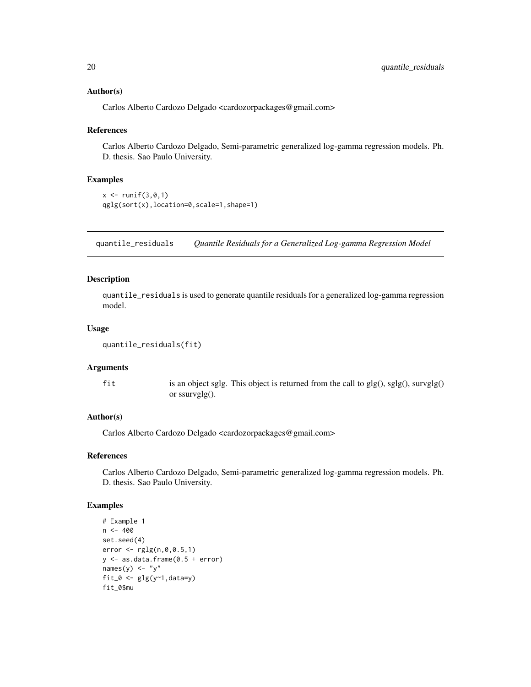#### <span id="page-19-0"></span>Author(s)

Carlos Alberto Cardozo Delgado <cardozorpackages@gmail.com>

#### References

Carlos Alberto Cardozo Delgado, Semi-parametric generalized log-gamma regression models. Ph. D. thesis. Sao Paulo University.

#### Examples

```
x <- runif(3,0,1)
qglg(sort(x),location=0,scale=1,shape=1)
```
quantile\_residuals *Quantile Residuals for a Generalized Log-gamma Regression Model*

#### Description

quantile\_residuals is used to generate quantile residuals for a generalized log-gamma regression model.

# Usage

```
quantile_residuals(fit)
```
# Arguments

fit is an object sglg. This object is returned from the call to glg(), sglg(), survglg() or ssurvglg().

#### Author(s)

Carlos Alberto Cardozo Delgado <cardozorpackages@gmail.com>

#### References

Carlos Alberto Cardozo Delgado, Semi-parametric generalized log-gamma regression models. Ph. D. thesis. Sao Paulo University.

```
# Example 1
n < -400set.seed(4)
error <- rglg(n,0,0.5,1)
y \leftarrow as.data frame(0.5 + error)names(y) <- "y"
fit_0 <- glg(y<sup>1</sup>,data=y)fit_0$mu
```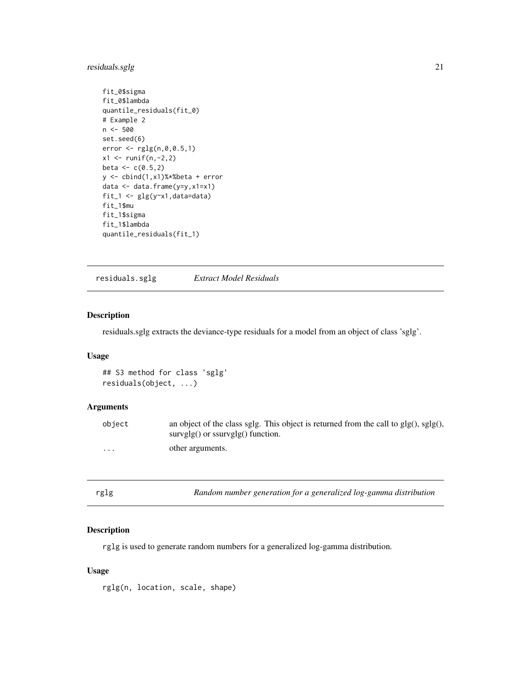# <span id="page-20-0"></span>residuals.sglg 21

```
fit_0$sigma
fit_0$lambda
quantile_residuals(fit_0)
# Example 2
n < -500set.seed(6)
error < -rglg(n, 0, 0.5, 1)x1 \le runif(n,-2,2)
beta <-c(0.5,2)y <- cbind(1,x1)%*%beta + error
data <- data.frame(y=y,x1=x1)
fit_1 <- glg(y \sim x1, data = data)fit_1$mu
fit_1$sigma
fit_1$lambda
quantile_residuals(fit_1)
```
residuals.sglg *Extract Model Residuals*

# Description

residuals.sglg extracts the deviance-type residuals for a model from an object of class 'sglg'.

# Usage

```
## S3 method for class 'sglg'
residuals(object, ...)
```
#### Arguments

| object   | an object of the class sglg. This object is returned from the call to $glg()$ , $sglg()$ ,<br>$survglg()$ or $ssurvglg()$ function. |
|----------|-------------------------------------------------------------------------------------------------------------------------------------|
| $\cdots$ | other arguments.                                                                                                                    |

# Description

rglg is used to generate random numbers for a generalized log-gamma distribution.

# Usage

rglg(n, location, scale, shape)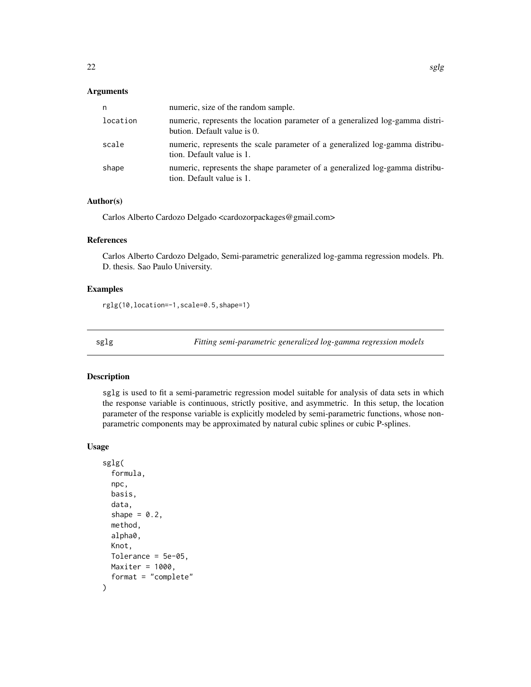#### <span id="page-21-0"></span>Arguments

| n        | numeric, size of the random sample.                                                                          |
|----------|--------------------------------------------------------------------------------------------------------------|
| location | numeric, represents the location parameter of a generalized log-gamma distri-<br>bution. Default value is 0. |
| scale    | numeric, represents the scale parameter of a generalized log-gamma distribu-<br>tion. Default value is 1.    |
| shape    | numeric, represents the shape parameter of a generalized log-gamma distribu-<br>tion. Default value is 1.    |

# Author(s)

Carlos Alberto Cardozo Delgado <cardozorpackages@gmail.com>

#### References

Carlos Alberto Cardozo Delgado, Semi-parametric generalized log-gamma regression models. Ph. D. thesis. Sao Paulo University.

#### Examples

rglg(10,location=-1,scale=0.5,shape=1)

sglg *Fitting semi-parametric generalized log-gamma regression models*

# Description

sglg is used to fit a semi-parametric regression model suitable for analysis of data sets in which the response variable is continuous, strictly positive, and asymmetric. In this setup, the location parameter of the response variable is explicitly modeled by semi-parametric functions, whose nonparametric components may be approximated by natural cubic splines or cubic P-splines.

#### Usage

```
sglg(
  formula,
 npc,
 basis,
  data,
  shape = 0.2,
 method,
 alpha0,
 Knot,
 Tolerance = 5e-05,
 Maxiter = 1000,
  format = "complete"
)
```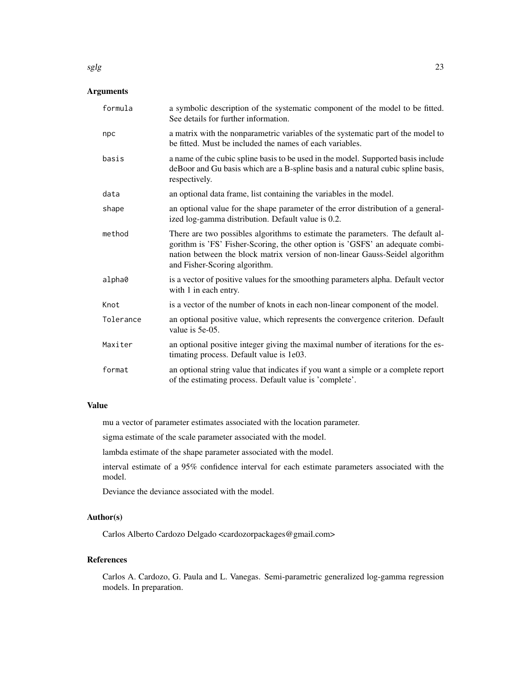#### Arguments

| formula   | a symbolic description of the systematic component of the model to be fitted.<br>See details for further information.                                                                                                                                                            |
|-----------|----------------------------------------------------------------------------------------------------------------------------------------------------------------------------------------------------------------------------------------------------------------------------------|
| npc       | a matrix with the nonparametric variables of the systematic part of the model to<br>be fitted. Must be included the names of each variables.                                                                                                                                     |
| basis     | a name of the cubic spline basis to be used in the model. Supported basis include<br>deBoor and Gu basis which are a B-spline basis and a natural cubic spline basis,<br>respectively.                                                                                           |
| data      | an optional data frame, list containing the variables in the model.                                                                                                                                                                                                              |
| shape     | an optional value for the shape parameter of the error distribution of a general-<br>ized log-gamma distribution. Default value is 0.2.                                                                                                                                          |
| method    | There are two possibles algorithms to estimate the parameters. The default al-<br>gorithm is 'FS' Fisher-Scoring, the other option is 'GSFS' an adequate combi-<br>nation between the block matrix version of non-linear Gauss-Seidel algorithm<br>and Fisher-Scoring algorithm. |
| alpha0    | is a vector of positive values for the smoothing parameters alpha. Default vector<br>with 1 in each entry.                                                                                                                                                                       |
| Knot      | is a vector of the number of knots in each non-linear component of the model.                                                                                                                                                                                                    |
| Tolerance | an optional positive value, which represents the convergence criterion. Default<br>value is 5e-05.                                                                                                                                                                               |
| Maxiter   | an optional positive integer giving the maximal number of iterations for the es-<br>timating process. Default value is 1e03.                                                                                                                                                     |
| format    | an optional string value that indicates if you want a simple or a complete report<br>of the estimating process. Default value is 'complete'.                                                                                                                                     |

# Value

mu a vector of parameter estimates associated with the location parameter.

sigma estimate of the scale parameter associated with the model.

lambda estimate of the shape parameter associated with the model.

interval estimate of a 95% confidence interval for each estimate parameters associated with the model.

Deviance the deviance associated with the model.

# Author(s)

Carlos Alberto Cardozo Delgado <cardozorpackages@gmail.com>

# References

Carlos A. Cardozo, G. Paula and L. Vanegas. Semi-parametric generalized log-gamma regression models. In preparation.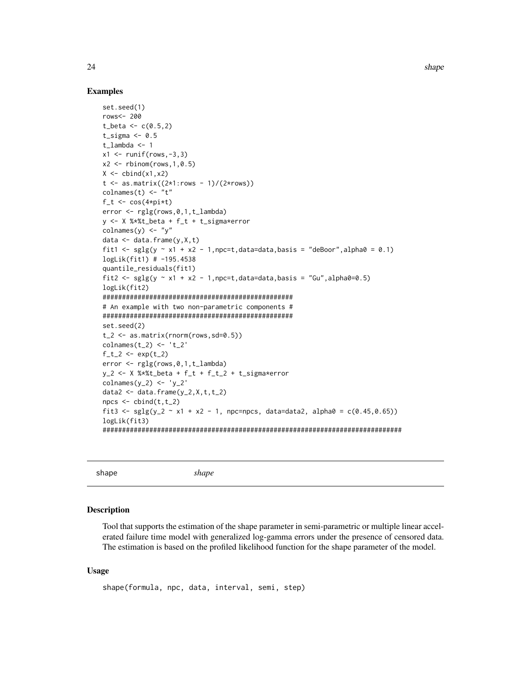#### Examples

```
set.seed(1)
rows<- 200
t_beta <- c(0.5, 2)t_sigma \leq -0.5t_lambda <- 1
x1 \leftarrow runif(rows, -3, 3)x2 \le - rbinom(rows, 1, 0.5)
X \leftarrow \text{cbind}(x1, x2)t \le - as.matrix((2*1:rows - 1)/(2*rows))
colnames(t) <- "t"
f_t < -\cos(4*pi*t)error <- rglg(rows,0,1,t_lambda)
y <- X %*%t_beta + f_t + t_sigma*error
colnames(y) <- "y"
data \leq data.frame(y, X, t)
fit1 <- \text{sglg}(y \sim x1 + x2 - 1, \text{npc=t}, \text{data=data}, \text{basis} = \text{"deBoor", alpha0 = 0.1})logLik(fit1) # -195.4538
quantile_residuals(fit1)
fit2 <- \text{sglg}(y \sim x1 + x2 - 1, \text{npc}=t,data=data,basis = "Gu",alpha0=0.5)
logLik(fit2)
#################################################
# An example with two non-parametric components #
#################################################
set.seed(2)
t_{-2} <- as.matrix(rnorm(rows,sd=0.5))
\text{columns}(t_2) \leftarrow 't_2'f_t_2 < - \exp(t_2)error <- rglg(rows,0,1,t_lambda)
y_2 < - X%*%t_beta + f_t + f_t_2 + t_sigma*error
\text{columns}(y_2) \leftarrow 'y_2'data2 <- data.frame(y_2, X, t, t_2)npcs < - \text{cbind}(t, t_2)fit3 <- \text{sglg}(y_2 \text{ and } x_2 \text{ and } y_1 \text{ are } -1, \text{ are } -1, \text{ are } -1, \text{ and } -1, \text{ are } -1, \text{ are } -1, \text{ are } -1, \text{ are } -1, \text{ are } -1, \text{ are } -1, \text{ are } -1, \text{ are } -1, \text{ are } -1, \text{ are } -1, \text{ are } -1, \text{ are } -1, \text{ are } -1, \text{ are } -1, \text{ are } -1, \text{ are } -1, \text{ are } -1, \text{ are } -1, \text{ are } -1, \textlogLik(fit3)
#############################################################################
```
shape *shape*

#### Description

Tool that supports the estimation of the shape parameter in semi-parametric or multiple linear accelerated failure time model with generalized log-gamma errors under the presence of censored data. The estimation is based on the profiled likelihood function for the shape parameter of the model.

#### Usage

```
shape(formula, npc, data, interval, semi, step)
```
<span id="page-23-0"></span>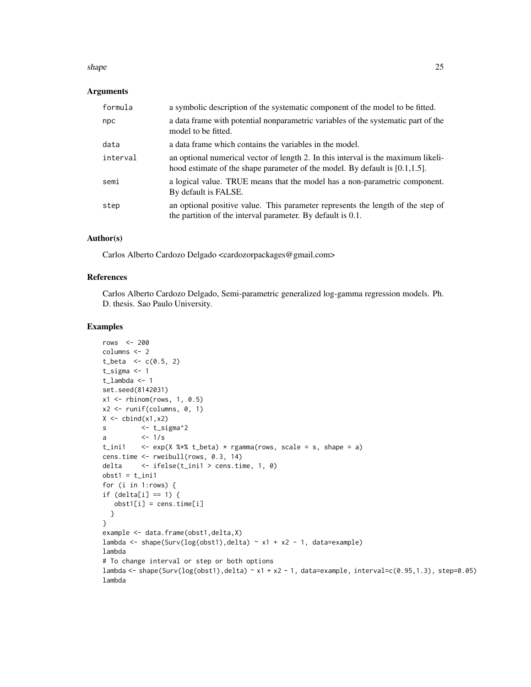#### shape 25

#### Arguments

| formula  | a symbolic description of the systematic component of the model to be fitted.                                                                                        |
|----------|----------------------------------------------------------------------------------------------------------------------------------------------------------------------|
| npc      | a data frame with potential nonparametric variables of the systematic part of the<br>model to be fitted.                                                             |
| data     | a data frame which contains the variables in the model.                                                                                                              |
| interval | an optional numerical vector of length 2. In this interval is the maximum likeli-<br>hood estimate of the shape parameter of the model. By default is $[0.1, 1.5]$ . |
| semi     | a logical value. TRUE means that the model has a non-parametric component.<br>By default is FALSE.                                                                   |
| step     | an optional positive value. This parameter represents the length of the step of<br>the partition of the interval parameter. By default is 0.1.                       |

# Author(s)

Carlos Alberto Cardozo Delgado <cardozorpackages@gmail.com>

# References

Carlos Alberto Cardozo Delgado, Semi-parametric generalized log-gamma regression models. Ph. D. thesis. Sao Paulo University.

```
rows <- 200
columns <- 2
t_{\text{beta}} < -c(0.5, 2)t_sigma <- 1
t_lambda <- 1
set.seed(8142031)
x1 \leftarrow \text{rbinom}(\text{rows}, 1, 0.5)x2 <- runif(columns, 0, 1)
X \leftarrow \text{cbind}(x1, x2)s <- t_sigma^2
a <-1/st_ini1 \leq exp(X %*% t_beta) * rgamma(rows, scale = s, shape = a)
cens.time <- rweibull(rows, 0.3, 14)
delta <- ifelse(t_ini1 > cens.time, 1, 0)
obst1 = t_ini1for (i in 1:rows) {
if (delta[i] == 1) {
   obst1[i] = cens.time[i]
  }
}
example <- data.frame(obst1,delta,X)
lambda <- shape(Surv(log(obst1),delta) ~ x1 + x2 - 1, data=example)
lambda
# To change interval or step or both options
lambda <- shape(Surv(log(obst1),delta) ~ x1 + x2 - 1, data=example, interval=c(0.95,1.3), step=0.05)
lambda
```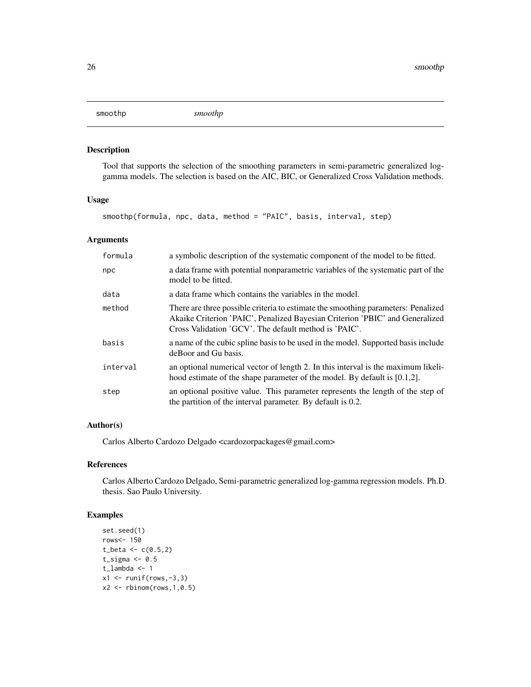<span id="page-25-0"></span>smoothp *smoothp*

# Description

Tool that supports the selection of the smoothing parameters in semi-parametric generalized loggamma models. The selection is based on the AIC, BIC, or Generalized Cross Validation methods.

# Usage

smoothp(formula, npc, data, method = "PAIC", basis, interval, step)

## Arguments

| formula  | a symbolic description of the systematic component of the model to be fitted.                                                                                                                                              |
|----------|----------------------------------------------------------------------------------------------------------------------------------------------------------------------------------------------------------------------------|
| npc      | a data frame with potential nonparametric variables of the systematic part of the<br>model to be fitted.                                                                                                                   |
| data     | a data frame which contains the variables in the model.                                                                                                                                                                    |
| method   | There are three possible criteria to estimate the smoothing parameters: Penalized<br>Akaike Criterion 'PAIC', Penalized Bayesian Criterion 'PBIC' and Generalized<br>Cross Validation 'GCV'. The default method is 'PAIC'. |
| basis    | a name of the cubic spline basis to be used in the model. Supported basis include<br>de Boor and Gu basis.                                                                                                                 |
| interval | an optional numerical vector of length 2. In this interval is the maximum likeli-<br>hood estimate of the shape parameter of the model. By default is $[0.1,2]$ .                                                          |
| step     | an optional positive value. This parameter represents the length of the step of<br>the partition of the interval parameter. By default is 0.2.                                                                             |

# Author(s)

Carlos Alberto Cardozo Delgado <cardozorpackages@gmail.com>

# References

Carlos Alberto Cardozo Delgado, Semi-parametric generalized log-gamma regression models. Ph.D. thesis. Sao Paulo University.

```
set.seed(1)
rows<- 150
t_{beta} < -c(0.5, 2)t_sigma <-0.5t_lambda <- 1
x1 \leftarrow runif(rows, -3, 3)x2 \leftarrow \text{rbinom}(\text{rows}, 1, 0.5)
```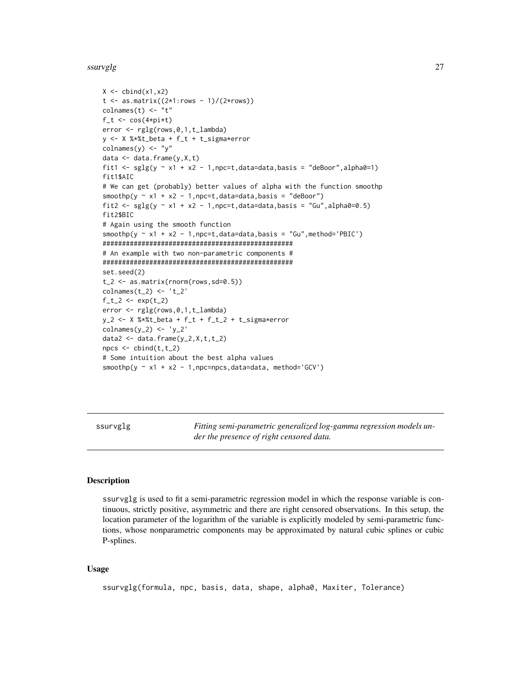#### <span id="page-26-0"></span>ssurvglg 27

```
X \leftarrow \text{cbind}(x1, x2)t < - as.matrix((2*1:rows - 1)/(2*rows))
colnames(t) <- "t"
f_t < -\cos(4*pi*t)error <- rglg(rows,0,1,t_lambda)
y <- X %*%t_beta + f_t + t_sigma*error
colnames(y) <- "y"
data <- data.frame(y,X,t)
fit1 <- \text{sglg}(y \sim x1 + x2 - 1, \text{npc}=t,data=data,basis = "deBoor",alpha0=1)
fit1$AIC
# We can get (probably) better values of alpha with the function smoothp
smoothp(y \sim x1 + x2 - 1, npc=t, data=data, basis = "deBoor")fit2 <- sglg(y \sim x1 + x2 - 1, npc=t, data=data, basis = "Gu", alpha0=0.5)fit2$BIC
# Again using the smooth function
smoothp(y \sim x1 + x2 - 1, npc=t, data=data, basis = "Gu", method='PBIC')
#################################################
# An example with two non-parametric components #
#################################################
set.seed(2)
t_{2} < -a.s.matrix(rnorm(rows, sd=0.5))\text{columns}(t_2) \leftarrow 't_2'f_t_2 < - \exp(t_2)error <- rglg(rows,0,1,t_lambda)
y_2 <- X %*%t_beta + f_t + f_t_2 + t_sigma*error
\text{columns}(y_2) \leftarrow 'y_2'data2 <- data.frame(y_2, x, t, t_2)npcs < - \text{cbind}(t, t_2)# Some intuition about the best alpha values
smoothp(y \sim x1 + x2 - 1, npc=npcs, data=data, method='GCV')
```
ssurvglg *Fitting semi-parametric generalized log-gamma regression models under the presence of right censored data.*

#### **Description**

ssurvglg is used to fit a semi-parametric regression model in which the response variable is continuous, strictly positive, asymmetric and there are right censored observations. In this setup, the location parameter of the logarithm of the variable is explicitly modeled by semi-parametric functions, whose nonparametric components may be approximated by natural cubic splines or cubic P-splines.

#### Usage

```
ssurvglg(formula, npc, basis, data, shape, alpha0, Maxiter, Tolerance)
```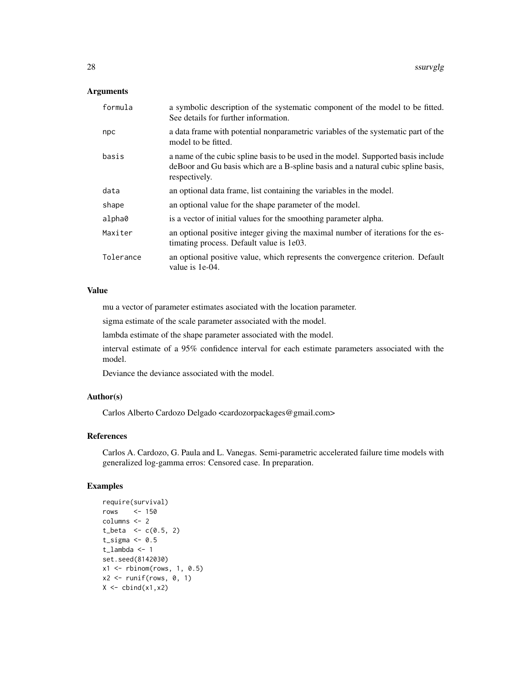# Arguments

| formula   | a symbolic description of the systematic component of the model to be fitted.<br>See details for further information.                                                                  |
|-----------|----------------------------------------------------------------------------------------------------------------------------------------------------------------------------------------|
| npc       | a data frame with potential nonparametric variables of the systematic part of the<br>model to be fitted.                                                                               |
| basis     | a name of the cubic spline basis to be used in the model. Supported basis include<br>deBoor and Gu basis which are a B-spline basis and a natural cubic spline basis,<br>respectively. |
| data      | an optional data frame, list containing the variables in the model.                                                                                                                    |
| shape     | an optional value for the shape parameter of the model.                                                                                                                                |
| alpha0    | is a vector of initial values for the smoothing parameter alpha.                                                                                                                       |
| Maxiter   | an optional positive integer giving the maximal number of iterations for the es-<br>timating process. Default value is 1e03.                                                           |
| Tolerance | an optional positive value, which represents the convergence criterion. Default<br>value is 1e-04.                                                                                     |
|           |                                                                                                                                                                                        |

# Value

mu a vector of parameter estimates asociated with the location parameter.

sigma estimate of the scale parameter associated with the model.

lambda estimate of the shape parameter associated with the model.

interval estimate of a 95% confidence interval for each estimate parameters associated with the model.

Deviance the deviance associated with the model.

# Author(s)

Carlos Alberto Cardozo Delgado <cardozorpackages@gmail.com>

# References

Carlos A. Cardozo, G. Paula and L. Vanegas. Semi-parametric accelerated failure time models with generalized log-gamma erros: Censored case. In preparation.

```
require(survival)
rows <- 150
columns <- 2
t_{beta} < -c(0.5, 2)t_sigma <-0.5t_lambda <- 1
set.seed(8142030)
x1 \leftarrow \text{rbinom}(\text{rows}, 1, 0.5)x2 \leftarrow runif(rows, 0, 1)X \leftarrow \text{cbind}(x1, x2)
```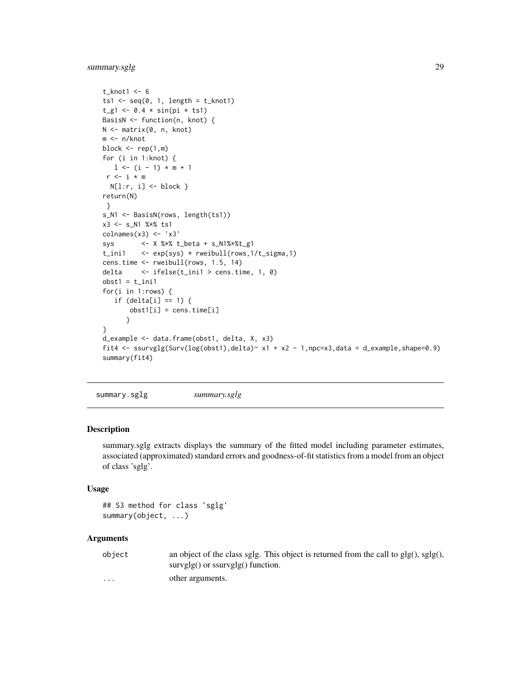# <span id="page-28-0"></span>summary.sglg 29

```
t_knot1 <- 6
ts1 \leftarrow seq(0, 1, length = t_knot1)t_g1 \leftarrow 0.4 * sin(pi * ts1)BasisN <- function(n, knot) {
N <- matrix(0, n, knot)
m <- n/knot
block \leq rep(1,m)
for (i in 1:knot) {
  1 \le - (i - 1) \times m + 1r \leftarrow i * mN[l:r, i] <- block }
return(N)
}
s_N1 <- BasisN(rows, length(ts1))
x3 <- s_N1 %*% ts1
\text{columns}(x3) \leq 'x3'sys <- X %*% t_beta + s_N1%*%t_g1
t_ini1 <- exp(sys) * rweibull(rows,1/t_sigma,1)
cens.time <- rweibull(rows, 1.5, 14)
delta <- ifelse(t_ini1 > cens.time, 1, 0)
obst1 = t_ini1for(i in 1:rows) {
   if (delta[i] == 1) {
       obst1[i] = cens.time[i]
      }
}
d_example <- data.frame(obst1, delta, X, x3)
fit4 <- ssurvglg(Surv(log(obst1),delta)~ x1 + x2 - 1,npc=x3,data = d_example,shape=0.9)
summary(fit4)
```
summary.sglg *summary.sglg*

#### Description

summary.sglg extracts displays the summary of the fitted model including parameter estimates, associated (approximated) standard errors and goodness-of-fit statistics from a model from an object of class 'sglg'.

#### Usage

```
## S3 method for class 'sglg'
summary(object, ...)
```
# Arguments

object an object of the class sglg. This object is returned from the call to glg(), sglg(), survglg() or ssurvglg() function.

... other arguments.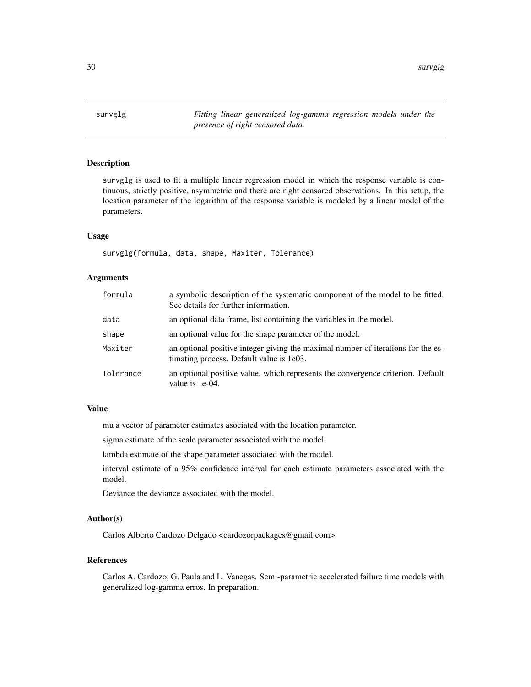<span id="page-29-0"></span>30 survglg

survglg *Fitting linear generalized log-gamma regression models under the presence of right censored data.*

# Description

survglg is used to fit a multiple linear regression model in which the response variable is continuous, strictly positive, asymmetric and there are right censored observations. In this setup, the location parameter of the logarithm of the response variable is modeled by a linear model of the parameters.

#### Usage

survglg(formula, data, shape, Maxiter, Tolerance)

# Arguments

| formula   | a symbolic description of the systematic component of the model to be fitted.<br>See details for further information.        |
|-----------|------------------------------------------------------------------------------------------------------------------------------|
| data      | an optional data frame, list containing the variables in the model.                                                          |
| shape     | an optional value for the shape parameter of the model.                                                                      |
| Maxiter   | an optional positive integer giving the maximal number of iterations for the es-<br>timating process. Default value is 1e03. |
| Tolerance | an optional positive value, which represents the convergence criterion. Default<br>value is 1e-04.                           |

# Value

mu a vector of parameter estimates asociated with the location parameter.

sigma estimate of the scale parameter associated with the model.

lambda estimate of the shape parameter associated with the model.

interval estimate of a 95% confidence interval for each estimate parameters associated with the model.

Deviance the deviance associated with the model.

#### Author(s)

Carlos Alberto Cardozo Delgado <cardozorpackages@gmail.com>

#### References

Carlos A. Cardozo, G. Paula and L. Vanegas. Semi-parametric accelerated failure time models with generalized log-gamma erros. In preparation.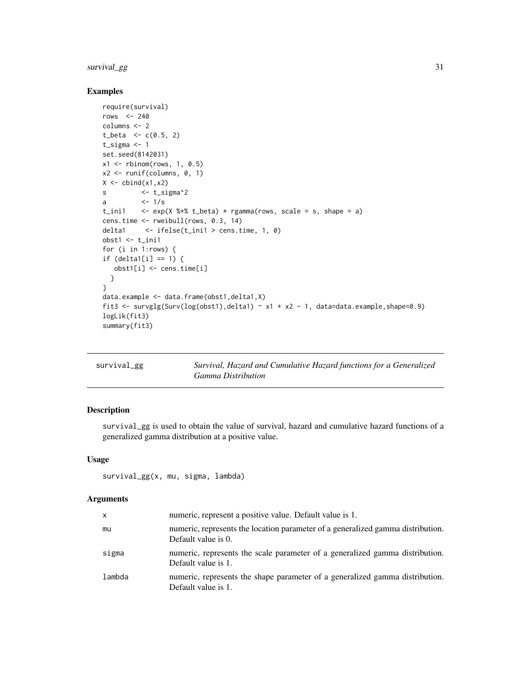# <span id="page-30-0"></span>survival\_gg 31

# Examples

```
require(survival)
rows <-240columns <- 2
t_{beta} < -c(0.5, 2)t_sigma <- 1
set.seed(8142031)
x1 \leftarrow \text{rbinom}(\text{rows}, 1, 0.5)x2 \le runif(columns, 0, 1)
X \leftarrow \text{cbind}(x1, x2)s <- t_sigma^2
a <-1/st_ini1 \leq exp(X %*% t_beta) * rgamma(rows, scale = s, shape = a)
cens.time <- rweibull(rows, 0.3, 14)
delta1 <- ifelse(t_ini1 > cens.time, 1, 0)
obst1 < - t_{init1}for (i in 1:rows) {
if (deltal[i] == 1) {
  obst1[i] <- cens.time[i]
  }
}
data.example <- data.frame(obst1,delta1,X)
fit3 <- survglg(Surv(log(obst1),delta1) ~ x1 + x2 - 1, data=data.example,shape=0.9)
logLik(fit3)
summary(fit3)
```

| survival_gg | Survival, Hazard and Cumulative Hazard functions for a Generalized |
|-------------|--------------------------------------------------------------------|
|             | <i>Gamma Distribution</i>                                          |

# Description

survival\_gg is used to obtain the value of survival, hazard and cumulative hazard functions of a generalized gamma distribution at a positive value.

#### Usage

```
survival_gg(x, mu, sigma, lambda)
```
#### Arguments

| x      | numeric, represent a positive value. Default value is 1.                                               |
|--------|--------------------------------------------------------------------------------------------------------|
| mu     | numeric, represents the location parameter of a generalized gamma distribution.<br>Default value is 0. |
| sigma  | numeric, represents the scale parameter of a generalized gamma distribution.<br>Default value is 1.    |
| lambda | numeric, represents the shape parameter of a generalized gamma distribution.<br>Default value is 1.    |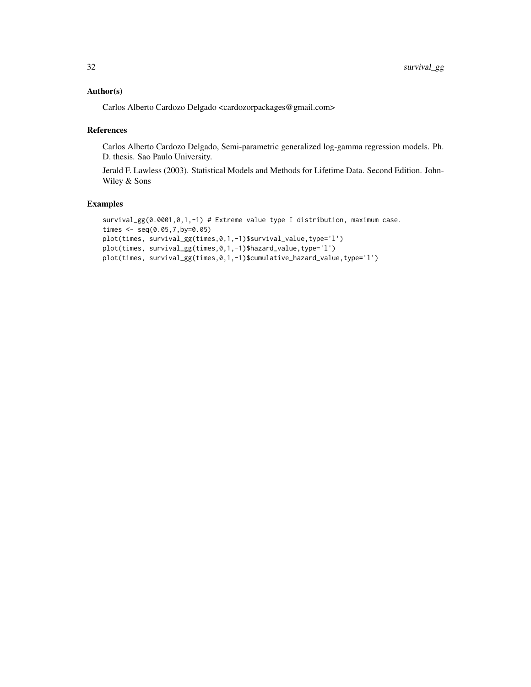# Author(s)

Carlos Alberto Cardozo Delgado <cardozorpackages@gmail.com>

#### References

Carlos Alberto Cardozo Delgado, Semi-parametric generalized log-gamma regression models. Ph. D. thesis. Sao Paulo University.

Jerald F. Lawless (2003). Statistical Models and Methods for Lifetime Data. Second Edition. John-Wiley & Sons

```
survival_gg(0.0001,0,1,-1) # Extreme value type I distribution, maximum case.
times <- seq(0.05,7,by=0.05)
plot(times, survival_gg(times,0,1,-1)$survival_value,type='l')
plot(times, survival_gg(times,0,1,-1)$hazard_value,type='l')
plot(times, survival_gg(times,0,1,-1)$cumulative_hazard_value,type='l')
```